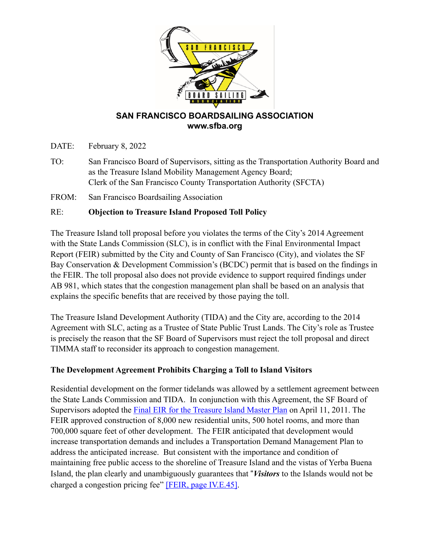

# **SAN FRANCISCO BOARDSAILING ASSOCIATION www.sfba.org**

- DATE: February 8, 2022
- TO: San Francisco Board of Supervisors, sitting as the Transportation Authority Board and as the Treasure Island Mobility Management Agency Board; Clerk of the San Francisco County Transportation Authority (SFCTA)
- FROM: San Francisco Boardsailing Association

#### RE: **Objection to Treasure Island Proposed Toll Policy**

The Treasure Island toll proposal before you violates the terms of the City's 2014 Agreement with the State Lands Commission (SLC), is in conflict with the Final Environmental Impact Report (FEIR) submitted by the City and County of San Francisco (City), and violates the SF Bay Conservation & Development Commission's (BCDC) permit that is based on the findings in the FEIR. The toll proposal also does not provide evidence to support required findings under AB 981, which states that the congestion management plan shall be based on an analysis that explains the specific benefits that are received by those paying the toll.

The Treasure Island Development Authority (TIDA) and the City are, according to the 2014 Agreement with SLC, acting as a Trustee of State Public Trust Lands. The City's role as Trustee is precisely the reason that the SF Board of Supervisors must reject the toll proposal and direct TIMMA staff to reconsider its approach to congestion management.

#### **The Development Agreement Prohibits Charging a Toll to Island Visitors**

Residential development on the former tidelands was allowed by a settlement agreement between the State Lands Commission and TIDA. In conjunction with this Agreement, the SF Board of Supervisors adopted the [Final EIR for the Treasure Island Master Plan](https://sftreasureisland.org/FinalEIR) on April 11, 2011. The FEIR approved construction of 8,000 new residential units, 500 hotel rooms, and more than 700,000 square feet of other development. The FEIR anticipated that development would increase transportation demands and includes a Transportation Demand Management Plan to address the anticipated increase. But consistent with the importance and condition of maintaining free public access to the shoreline of Treasure Island and the vistas of Yerba Buena Island, the plan clearly and unambiguously guarantees that !*Visitors* to the Islands would not be charged a congestion pricing fee" [\[FEIR, page IV.E.45\]](https://sftreasureisland.org/FinalEIR).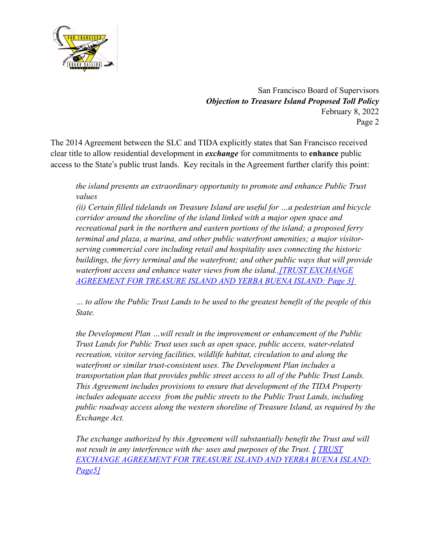

The 2014 Agreement between the SLC and TIDA explicitly states that San Francisco received clear title to allow residential development in *exchange* for commitments to **enhance** public access to the State"s public trust lands. Key recitals in the Agreement further clarify this point:

*the island presents an extraordinary opportunity to promote and enhance Public Trust values* 

*(ii) Certain filled tidelands on Treasure Island are useful for …a pedestrian and bicycle corridor around the shoreline of the island linked with a major open space and recreational park in the northern and eastern portions of the island; a proposed ferry terminal and plaza, a marina, and other public waterfront amenities; a major visitorserving commercial core including retail and hospitality uses connecting the historic buildings, the ferry terminal and the waterfront; and other public ways that will provide waterfront access and enhance water views from the island.[.\[TRUST EXCHANGE](https://www.slc.ca.gov/Programs/Granted_Lands/G11_San_Francisco_County/G11-02_Treasure_Island_Development_Authority/AD599.pdf)  [AGREEMENT FOR TREASURE ISLAND AND YERBA BUENA ISLAND: Page 3\]](https://www.slc.ca.gov/Programs/Granted_Lands/G11_San_Francisco_County/G11-02_Treasure_Island_Development_Authority/AD599.pdf)* 

*… to allow the Public Trust Lands to be used to the greatest benefit of the people of this State.*

*the Development Plan …will result in the improvement or enhancement of the Public Trust Lands for Public Trust uses such as open space, public access, water-related recreation, visitor serving facilities, wildlife habitat, circulation to and along the waterfront or similar trust-consistent uses. The Development Plan includes a transportation plan that provides public street access to all of the Public Trust Lands. This Agreement includes provisions to ensure that development of the TIDA Property includes adequate access from the public streets to the Public Trust Lands, including public roadway access along the western shoreline of Treasure Island, as required by the Exchange Act.*

*The exchange authorized by this Agreement will substantially benefit the Trust and will not result in any interference with the· uses and purposes of the Trust. [ [TRUST](https://www.slc.ca.gov/Programs/Granted_Lands/G11_San_Francisco_County/G11-02_Treasure_Island_Development_Authority/AD599.pdf)  [EXCHANGE AGREEMENT FOR TREASURE ISLAND AND YERBA BUENA ISLAND:](https://www.slc.ca.gov/Programs/Granted_Lands/G11_San_Francisco_County/G11-02_Treasure_Island_Development_Authority/AD599.pdf)  [Page5\]](https://www.slc.ca.gov/Programs/Granted_Lands/G11_San_Francisco_County/G11-02_Treasure_Island_Development_Authority/AD599.pdf)*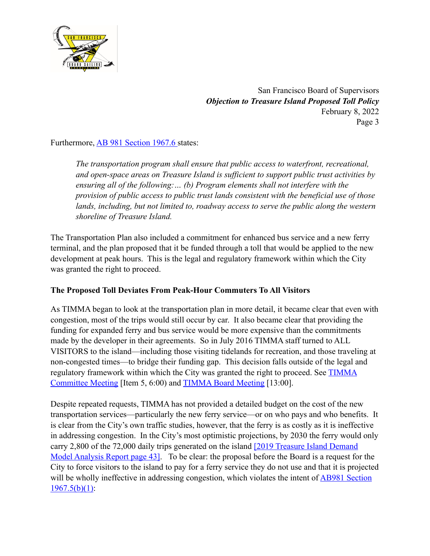

Furthermore, **AB 981 Section 1967.6** states:

*The transportation program shall ensure that public access to waterfront, recreational, and open-space areas on Treasure Island is sufficient to support public trust activities by ensuring all of the following:… (b) Program elements shall not interfere with the provision of public access to public trust lands consistent with the beneficial use of those lands, including, but not limited to, roadway access to serve the public along the western shoreline of Treasure Island.*

The Transportation Plan also included a commitment for enhanced bus service and a new ferry terminal, and the plan proposed that it be funded through a toll that would be applied to the new development at peak hours. This is the legal and regulatory framework within which the City was granted the right to proceed.

#### **The Proposed Toll Deviates From Peak-Hour Commuters To All Visitors**

As TIMMA began to look at the transportation plan in more detail, it became clear that even with congestion, most of the trips would still occur by car. It also became clear that providing the funding for expanded ferry and bus service would be more expensive than the commitments made by the developer in their agreements. So in July 2016 TIMMA staff turned to ALL VISITORS to the island—including those visiting tidelands for recreation, and those traveling at non-congested times—to bridge their funding gap. This decision falls outside of the legal and regulatory framework within which the City was granted the right to proceed. See **TIMMA** [Committee Meeting](https://sanfrancisco.granicus.com/player/clip/25841?view_id=179&meta_id=508563&redirect=true%25253chttps://sanfrancisco.granicus.com/player/clip/25841?view_id=179&meta_id=508563&redirect=true%25253e) [Item 5, 6:00) and [TIMMA Board Meeting](https://sanfrancisco.granicus.com/player/clip/25881?view_id=179&meta_id=509718&redirect=true%25253chttps://sanfrancisco.granicus.com/player/clip/25881?view_id=179&meta_id=509718&redirect=true%25253e) [13:00].

Despite repeated requests, TIMMA has not provided a detailed budget on the cost of the new transportation services—particularly the new ferry service—or on who pays and who benefits. It is clear from the City's own traffic studies, however, that the ferry is as costly as it is ineffective in addressing congestion. In the City's most optimistic projections, by 2030 the ferry would only carry 2,800 of the 72,000 daily trips generated on the island [\[2019 Treasure Island Demand](https://www.sfcta.org/sites/default/files/2021-04/Final_Travel%2520Demand%2520Report%25202019.pdf)  [Model Analysis Report page 43\].](https://www.sfcta.org/sites/default/files/2021-04/Final_Travel%2520Demand%2520Report%25202019.pdf) To be clear: the proposal before the Board is a request for the City to force visitors to the island to pay for a ferry service they do not use and that it is projected will be wholly ineffective in addressing congestion, which violates the intent of **AB981** Section  $1967.5(b)(1)$ :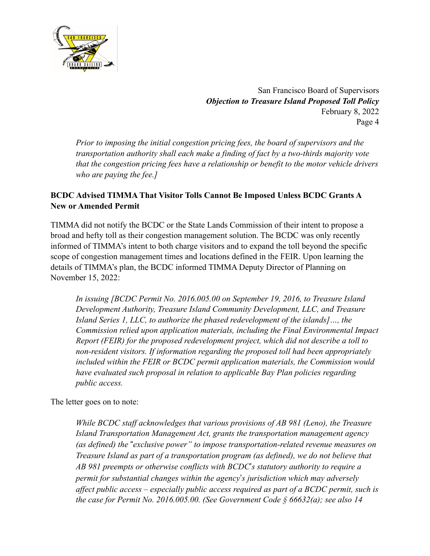

*Prior to imposing the initial congestion pricing fees, the board of supervisors and the transportation authority shall each make a finding of fact by a two-thirds majority vote that the congestion pricing fees have a relationship or benefit to the motor vehicle drivers who are paying the fee.]*

### **BCDC Advised TIMMA That Visitor Tolls Cannot Be Imposed Unless BCDC Grants A New or Amended Permit**

TIMMA did not notify the BCDC or the State Lands Commission of their intent to propose a broad and hefty toll as their congestion management solution. The BCDC was only recently informed of TIMMA's intent to both charge visitors and to expand the toll beyond the specific scope of congestion management times and locations defined in the FEIR. Upon learning the details of TIMMA's plan, the BCDC informed TIMMA Deputy Director of Planning on November 15, 2022:

*In issuing [BCDC Permit No. 2016.005.00 on September 19, 2016, to Treasure Island Development Authority, Treasure Island Community Development, LLC, and Treasure Island Series 1, LLC, to authorize the phased redevelopment of the islands]…, the Commission relied upon application materials, including the Final Environmental Impact Report (FEIR) for the proposed redevelopment project, which did not describe a toll to non-resident visitors. If information regarding the proposed toll had been appropriately included within the FEIR or BCDC permit application materials, the Commission would have evaluated such proposal in relation to applicable Bay Plan policies regarding public access.*

The letter goes on to note:

*While BCDC staff acknowledges that various provisions of AB 981 (Leno), the Treasure Island Transportation Management Act, grants the transportation management agency (as defined) the* !*exclusive power" to impose transportation-related revenue measures on Treasure Island as part of a transportation program (as defined), we do not believe that AB 981 preempts or otherwise conflicts with BCDC*"*s statutory authority to require a permit for substantial changes within the agency*"*s jurisdiction which may adversely affect public access – especially public access required as part of a BCDC permit, such is the case for Permit No. 2016.005.00. (See Government Code § 66632(a); see also 14*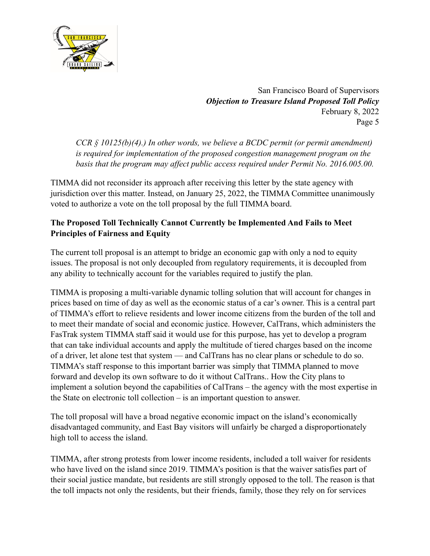

*CCR § 10125(b)(4).) In other words, we believe a BCDC permit (or permit amendment) is required for implementation of the proposed congestion management program on the basis that the program may affect public access required under Permit No. 2016.005.00.*

TIMMA did not reconsider its approach after receiving this letter by the state agency with jurisdiction over this matter. Instead, on January 25, 2022, the TIMMA Committee unanimously voted to authorize a vote on the toll proposal by the full TIMMA board.

# **The Proposed Toll Technically Cannot Currently be Implemented And Fails to Meet Principles of Fairness and Equity**

The current toll proposal is an attempt to bridge an economic gap with only a nod to equity issues. The proposal is not only decoupled from regulatory requirements, it is decoupled from any ability to technically account for the variables required to justify the plan.

TIMMA is proposing a multi-variable dynamic tolling solution that will account for changes in prices based on time of day as well as the economic status of a car's owner. This is a central part of TIMMA's effort to relieve residents and lower income citizens from the burden of the toll and to meet their mandate of social and economic justice. However, CalTrans, which administers the FasTrak system TIMMA staff said it would use for this purpose, has yet to develop a program that can take individual accounts and apply the multitude of tiered charges based on the income of a driver, let alone test that system — and CalTrans has no clear plans or schedule to do so. TIMMA's staff response to this important barrier was simply that TIMMA planned to move forward and develop its own software to do it without CalTrans.. How the City plans to implement a solution beyond the capabilities of CalTrans – the agency with the most expertise in the State on electronic toll collection – is an important question to answer.

The toll proposal will have a broad negative economic impact on the island's economically disadvantaged community, and East Bay visitors will unfairly be charged a disproportionately high toll to access the island.

TIMMA, after strong protests from lower income residents, included a toll waiver for residents who have lived on the island since 2019. TIMMA's position is that the waiver satisfies part of their social justice mandate, but residents are still strongly opposed to the toll. The reason is that the toll impacts not only the residents, but their friends, family, those they rely on for services